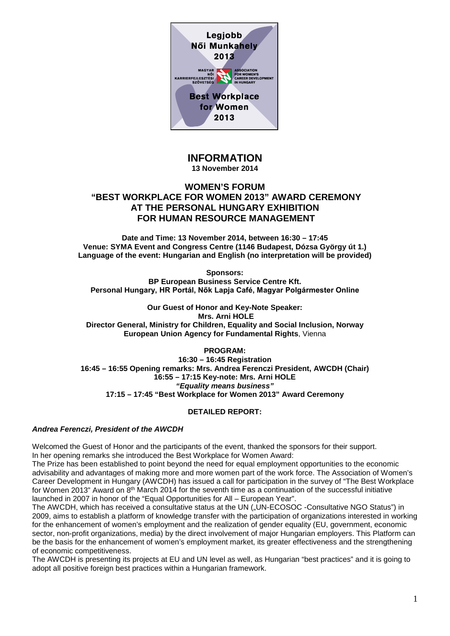

# **INFORMATION**

**13 November 2014**

## **WOMEN'S FORUM "BEST WORKPLACE FOR WOMEN 2013" AWARD CEREMONY AT THE PERSONAL HUNGARY EXHIBITION FOR HUMAN RESOURCE MANAGEMENT**

**Date and Time: 13 November 2014, between 16:30 – 17:45 Venue: SYMA Event and Congress Centre (1146 Budapest, Dózsa György út 1.) Language of the event: Hungarian and English (no interpretation will be provided)** 

**Sponsors:**

**BP European Business Service Centre Kft. Personal Hungary, HR Portál, Nők Lapja Café, Magyar Polgármester Online**

**Our Guest of Honor and Key-Note Speaker: Mrs. Arni HOLE Director General, Ministry for Children, Equality and Social Inclusion, Norway European Union Agency for Fundamental Rights**, Vienna

**PROGRAM:**

**16:30 – 16:45 Registration 16:45 – 16:55 Opening remarks: Mrs. Andrea Ferenczi President, AWCDH (Chair) 16:55 – 17:15 Key-note: Mrs. Arni HOLE** *"Equality means business"* **17:15 – 17:45 "Best Workplace for Women 2013" Award Ceremony**

## **DETAILED REPORT:**

## *Andrea Ferenczi, President of the AWCDH*

Welcomed the Guest of Honor and the participants of the event, thanked the sponsors for their support. In her opening remarks she introduced the Best Workplace for Women Award:

The Prize has been established to point beyond the need for equal employment opportunities to the economic advisability and advantages of making more and more women part of the work force. The Association of Women's Career Development in Hungary (AWCDH) has issued a call for participation in the survey of "The Best Workplace for Women 2013" Award on 8th March 2014 for the seventh time as a continuation of the successful initiative launched in 2007 in honor of the "Equal Opportunities for All – European Year".

The AWCDH, which has received a consultative status at the UN ("UN-ECOSOC -Consultative NGO Status") in 2009, aims to establish a platform of knowledge transfer with the participation of organizations interested in working for the enhancement of women's employment and the realization of gender equality (EU, government, economic sector, non-profit organizations, media) by the direct involvement of major Hungarian employers. This Platform can be the basis for the enhancement of women's employment market, its greater effectiveness and the strengthening of economic competitiveness.

The AWCDH is presenting its projects at EU and UN level as well, as Hungarian "best practices" and it is going to adopt all positive foreign best practices within a Hungarian framework.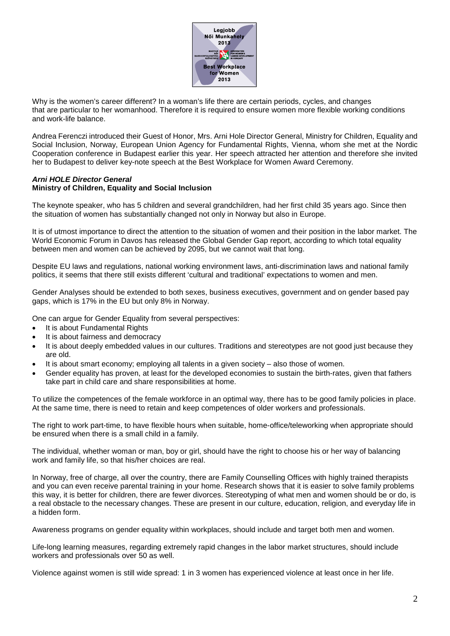

Why is the women's career different? In a woman's life there are certain periods, cycles, and changes that are particular to her womanhood. Therefore it is required to ensure women more flexible working conditions and work-life balance.

Andrea Ferenczi introduced their Guest of Honor, Mrs. Arni Hole Director General, Ministry for Children, Equality and Social Inclusion, Norway, European Union Agency for Fundamental Rights, Vienna, whom she met at the Nordic Cooperation conference in Budapest earlier this year. Her speech attracted her attention and therefore she invited her to Budapest to deliver key-note speech at the Best Workplace for Women Award Ceremony.

#### *Arni HOLE Director General* **Ministry of Children, Equality and Social Inclusion**

The keynote speaker, who has 5 children and several grandchildren, had her first child 35 years ago. Since then the situation of women has substantially changed not only in Norway but also in Europe.

It is of utmost importance to direct the attention to the situation of women and their position in the labor market. The World Economic Forum in Davos has released the Global Gender Gap report, according to which total equality between men and women can be achieved by 2095, but we cannot wait that long.

Despite EU laws and regulations, national working environment laws, anti-discrimination laws and national family politics, it seems that there still exists different 'cultural and traditional' expectations to women and men.

Gender Analyses should be extended to both sexes, business executives, government and on gender based pay gaps, which is 17% in the EU but only 8% in Norway.

One can argue for Gender Equality from several perspectives:

- It is about Fundamental Rights
- It is about fairness and democracy
- It is about deeply embedded values in our cultures. Traditions and stereotypes are not good just because they are old.
- It is about smart economy; employing all talents in a given society also those of women.
- Gender equality has proven, at least for the developed economies to sustain the birth-rates, given that fathers take part in child care and share responsibilities at home.

To utilize the competences of the female workforce in an optimal way, there has to be good family policies in place. At the same time, there is need to retain and keep competences of older workers and professionals.

The right to work part-time, to have flexible hours when suitable, home-office/teleworking when appropriate should be ensured when there is a small child in a family.

The individual, whether woman or man, boy or girl, should have the right to choose his or her way of balancing work and family life, so that his/her choices are real.

In Norway, free of charge, all over the country, there are Family Counselling Offices with highly trained therapists and you can even receive parental training in your home. Research shows that it is easier to solve family problems this way, it is better for children, there are fewer divorces. Stereotyping of what men and women should be or do, is a real obstacle to the necessary changes. These are present in our culture, education, religion, and everyday life in a hidden form.

Awareness programs on gender equality within workplaces, should include and target both men and women.

Life-long learning measures, regarding extremely rapid changes in the labor market structures, should include workers and professionals over 50 as well.

Violence against women is still wide spread: 1 in 3 women has experienced violence at least once in her life.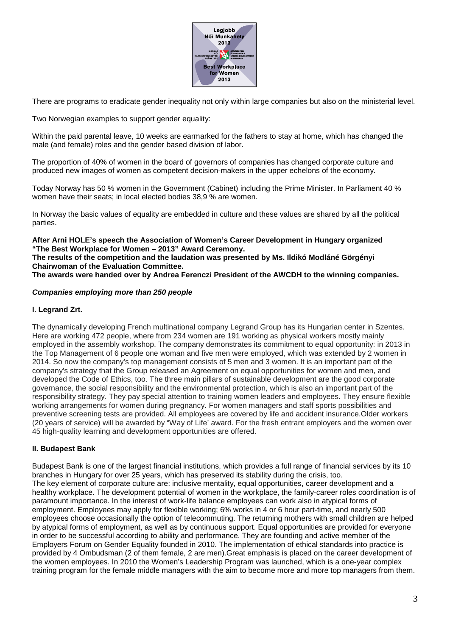

There are programs to eradicate gender inequality not only within large companies but also on the ministerial level.

Two Norwegian examples to support gender equality:

Within the paid parental leave, 10 weeks are earmarked for the fathers to stay at home, which has changed the male (and female) roles and the gender based division of labor.

The proportion of 40% of women in the board of governors of companies has changed corporate culture and produced new images of women as competent decision-makers in the upper echelons of the economy.

Today Norway has 50 % women in the Government (Cabinet) including the Prime Minister. In Parliament 40 % women have their seats; in local elected bodies 38,9 % are women.

In Norway the basic values of equality are embedded in culture and these values are shared by all the political parties.

**After Arni HOLE's speech the Association of Women's Career Development in Hungary organized "The Best Workplace for Women – 2013" Award Ceremony. The results of the competition and the laudation was presented by Ms. Ildikó Modláné Görgényi**

**Chairwoman of the Evaluation Committee. The awards were handed over by Andrea Ferenczi President of the AWCDH to the winning companies.**

#### *Companies employing more than 250 people*

#### **I**. **Legrand Zrt.**

The dynamically developing French multinational company Legrand Group has its Hungarian center in Szentes. Here are working 472 people, where from 234 women are 191 working as physical workers mostly mainly employed in the assembly workshop. The company demonstrates its commitment to equal opportunity: in 2013 in the Top Management of 6 people one woman and five men were employed, which was extended by 2 women in 2014. So now the company's top management consists of 5 men and 3 women. It is an important part of the company's strategy that the Group released an Agreement on equal opportunities for women and men, and developed the Code of Ethics, too. The three main pillars of sustainable development are the good corporate governance, the social responsibility and the environmental protection, which is also an important part of the responsibility strategy. They pay special attention to training women leaders and employees. They ensure flexible working arrangements for women during pregnancy. For women managers and staff sports possibilities and preventive screening tests are provided. All employees are covered by life and accident insurance.Older workers (20 years of service) will be awarded by "Way of Life' award. For the fresh entrant employers and the women over 45 high-quality learning and development opportunities are offered.

#### **II. Budapest Bank**

Budapest Bank is one of the largest financial institutions, which provides a full range of financial services by its 10 branches in Hungary for over 25 years, which has preserved its stability during the crisis, too. The key element of corporate culture are: inclusive mentality, equal opportunities, career development and a healthy workplace. The development potential of women in the workplace, the family-career roles coordination is of paramount importance. In the interest of work-life balance employees can work also in atypical forms of employment. Employees may apply for flexible working; 6% works in 4 or 6 hour part-time, and nearly 500 employees choose occasionally the option of telecommuting. The returning mothers with small children are helped by atypical forms of employment, as well as by continuous support. Equal opportunities are provided for everyone in order to be successful according to ability and performance. They are founding and active member of the Employers Forum on Gender Equality founded in 2010. The implementation of ethical standards into practice is provided by 4 Ombudsman (2 of them female, 2 are men).Great emphasis is placed on the career development of the women employees. In 2010 the Women's Leadership Program was launched, which is a one-year complex training program for the female middle managers with the aim to become more and more top managers from them.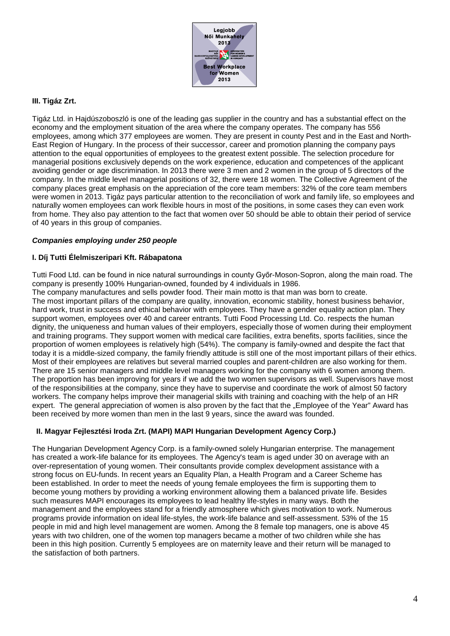

#### **III. Tigáz Zrt.**

Tigáz Ltd. in Hajdúszoboszló is one of the leading gas supplier in the country and has a substantial effect on the economy and the employment situation of the area where the company operates. The company has 556 employees, among which 377 employees are women. They are present in county Pest and in the East and North-East Region of Hungary. In the process of their successor, career and promotion planning the company pays attention to the equal opportunities of employees to the greatest extent possible. The selection procedure for managerial positions exclusively depends on the work experience, education and competences of the applicant avoiding gender or age discrimination. In 2013 there were 3 men and 2 women in the group of 5 directors of the company. In the middle level managerial positions of 32, there were 18 women. The Collective Agreement of the company places great emphasis on the appreciation of the core team members: 32% of the core team members were women in 2013. Tigáz pays particular attention to the reconciliation of work and family life, so employees and naturally women employees can work flexible hours in most of the positions, in some cases they can even work from home. They also pay attention to the fact that women over 50 should be able to obtain their period of service of 40 years in this group of companies.

#### *Companies employing under 250 people*

#### **I. Díj Tutti Élelmiszeripari Kft. Rábapatona**

Tutti Food Ltd. can be found in nice natural surroundings in county Győr-Moson-Sopron, along the main road. The company is presently 100% Hungarian-owned, founded by 4 individuals in 1986.

The company manufactures and sells powder food. Their main motto is that man was born to create. The most important pillars of the company are quality, innovation, economic stability, honest business behavior, hard work, trust in success and ethical behavior with employees. They have a gender equality action plan. They support women, employees over 40 and career entrants. Tutti Food Processing Ltd. Co. respects the human dignity, the uniqueness and human values of their employers, especially those of women during their employment and training programs. They support women with medical care facilities, extra benefits, sports facilities, since the proportion of women employees is relatively high (54%). The company is family-owned and despite the fact that today it is a middle-sized company, the family friendly attitude is still one of the most important pillars of their ethics. Most of their employees are relatives but several married couples and parent-children are also working for them. There are 15 senior managers and middle level managers working for the company with 6 women among them. The proportion has been improving for years if we add the two women supervisors as well. Supervisors have most of the responsibilities at the company, since they have to supervise and coordinate the work of almost 50 factory workers. The company helps improve their managerial skills with training and coaching with the help of an HR expert. The general appreciation of women is also proven by the fact that the "Employee of the Year" Award has been received by more women than men in the last 9 years, since the award was founded.

#### **II. Magyar Fejlesztési Iroda Zrt. (MAPI) MAPI Hungarian Development Agency Corp.)**

The Hungarian Development Agency Corp. is a family-owned solely Hungarian enterprise. The management has created a work-life balance for its employees. The Agency's team is aged under 30 on average with an over-representation of young women. Their consultants provide complex development assistance with a strong focus on EU-funds. In recent years an Equality Plan, a Health Program and a Career Scheme has been established. In order to meet the needs of young female employees the firm is supporting them to become young mothers by providing a working environment allowing them a balanced private life. Besides such measures MAPI encourages its employees to lead healthy life-styles in many ways. Both the management and the employees stand for a friendly atmosphere which gives motivation to work. Numerous programs provide information on ideal life-styles, the work-life balance and self-assessment. 53% of the 15 people in mid and high level management are women. Among the 8 female top managers, one is above 45 years with two children, one of the women top managers became a mother of two children while she has been in this high position. Currently 5 employees are on maternity leave and their return will be managed to the satisfaction of both partners.